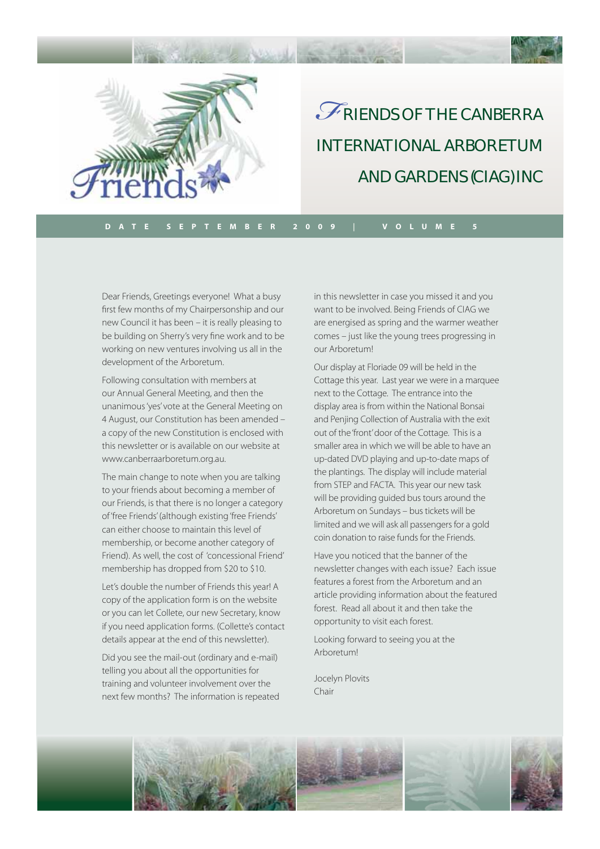

# RIENDS OF THE CANBERRA INTERNATIONAL ARBORETUM AND GARDENS (CIAG) INC *F*

**DATE SEPTEMBER 2009 | VOLUME 5**

Dear Friends, Greetings everyone! What a busy first few months of my Chairpersonship and our new Council it has been – it is really pleasing to be building on Sherry's very fine work and to be working on new ventures involving us all in the development of the Arboretum.

Following consultation with members at our Annual General Meeting, and then the unanimous 'yes' vote at the General Meeting on 4 August, our Constitution has been amended – a copy of the new Constitution is enclosed with this newsletter or is available on our website at www.canberraarboretum.org.au.

The main change to note when you are talking to your friends about becoming a member of our Friends, is that there is no longer a category of 'free Friends' (although existing 'free Friends' can either choose to maintain this level of membership, or become another category of Friend). As well, the cost of 'concessional Friend' membership has dropped from \$20 to \$10.

Let's double the number of Friends this year! A copy of the application form is on the website or you can let Collete, our new Secretary, know if you need application forms. (Collette's contact details appear at the end of this newsletter).

Did you see the mail-out (ordinary and e-mail) telling you about all the opportunities for training and volunteer involvement over the next few months? The information is repeated in this newsletter in case you missed it and you want to be involved. Being Friends of CIAG we are energised as spring and the warmer weather comes – just like the young trees progressing in our Arboretum!

Our display at Floriade 09 will be held in the Cottage this year. Last year we were in a marquee next to the Cottage. The entrance into the display area is from within the National Bonsai and Penjing Collection of Australia with the exit out of the 'front' door of the Cottage. This is a smaller area in which we will be able to have an up-dated DVD playing and up-to-date maps of the plantings. The display will include material from STEP and FACTA. This year our new task will be providing guided bus tours around the Arboretum on Sundays – bus tickets will be limited and we will ask all passengers for a gold coin donation to raise funds for the Friends.

Have you noticed that the banner of the newsletter changes with each issue? Each issue features a forest from the Arboretum and an article providing information about the featured forest. Read all about it and then take the opportunity to visit each forest.

Looking forward to seeing you at the Arboretum!

Jocelyn Plovits Chair

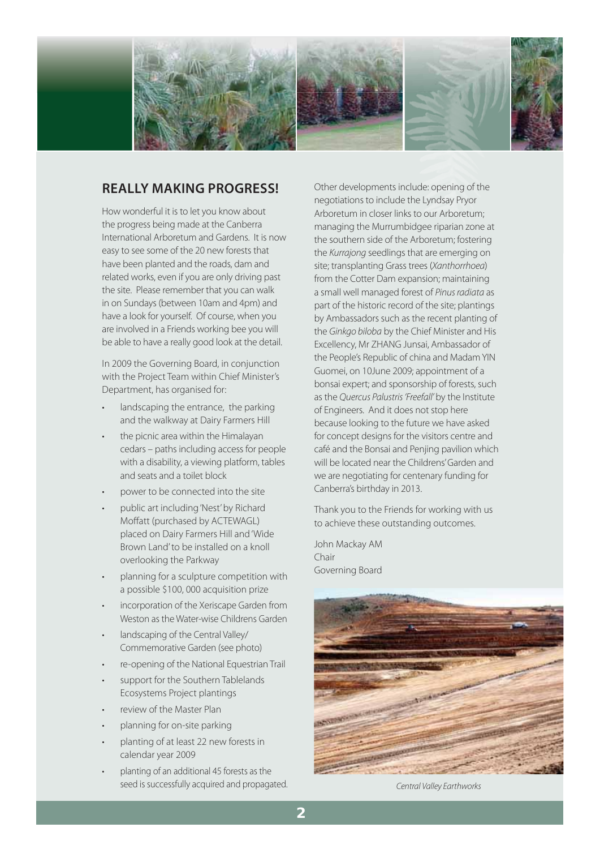

### **REALLY MAKING PROGRESS!**

How wonderful it is to let you know about the progress being made at the Canberra International Arboretum and Gardens. It is now easy to see some of the 20 new forests that have been planted and the roads, dam and related works, even if you are only driving past the site. Please remember that you can walk in on Sundays (between 10am and 4pm) and have a look for yourself. Of course, when you are involved in a Friends working bee you will be able to have a really good look at the detail.

In 2009 the Governing Board, in conjunction with the Project Team within Chief Minister's Department, has organised for:

- landscaping the entrance, the parking and the walkway at Dairy Farmers Hill
- the picnic area within the Himalayan cedars – paths including access for people with a disability, a viewing platform, tables and seats and a toilet block
- power to be connected into the site
- public art including 'Nest' by Richard Moffatt (purchased by ACTEWAGL) placed on Dairy Farmers Hill and 'Wide Brown Land' to be installed on a knoll overlooking the Parkway
- planning for a sculpture competition with a possible \$100, 000 acquisition prize
- incorporation of the Xeriscape Garden from Weston as the Water-wise Childrens Garden
- landscaping of the Central Valley/ Commemorative Garden (see photo)
- re-opening of the National Equestrian Trail
- support for the Southern Tablelands Ecosystems Project plantings
- review of the Master Plan
- planning for on-site parking
- planting of at least 22 new forests in calendar year 2009
- planting of an additional 45 forests as the seed is successfully acquired and propagated.

Other developments include: opening of the negotiations to include the Lyndsay Pryor Arboretum in closer links to our Arboretum; managing the Murrumbidgee riparian zone at the southern side of the Arboretum; fostering the Kurrajong seedlings that are emerging on site; transplanting Grass trees (Xanthorrhoea) from the Cotter Dam expansion; maintaining a small well managed forest of Pinus radiata as part of the historic record of the site; plantings by Ambassadors such as the recent planting of the Ginkgo biloba by the Chief Minister and His Excellency, Mr ZHANG Junsai, Ambassador of the People's Republic of china and Madam YIN Guomei, on 10June 2009; appointment of a bonsai expert; and sponsorship of forests, such as the Quercus Palustris 'Freefall' by the Institute of Engineers. And it does not stop here because looking to the future we have asked for concept designs for the visitors centre and café and the Bonsai and Penjing pavilion which will be located near the Childrens' Garden and we are negotiating for centenary funding for Canberra's birthday in 2013.

Thank you to the Friends for working with us to achieve these outstanding outcomes.

John Mackay AM Chair Governing Board



Central Valley Earthworks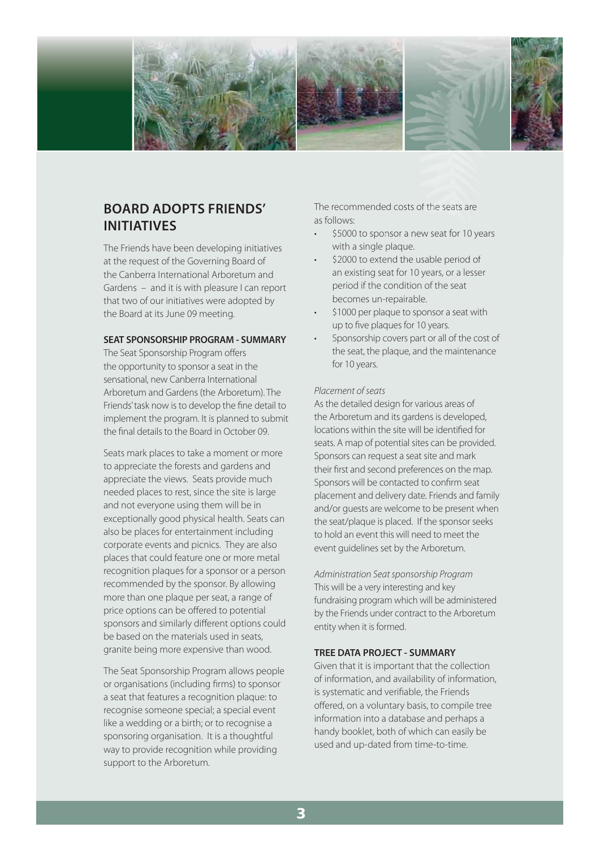

# **BOARD ADOPTS FRIENDS' INITIATIVES**

The Friends have been developing initiatives at the request of the Governing Board of the Canberra International Arboretum and Gardens – and it is with pleasure I can report that two of our initiatives were adopted by the Board at its June 09 meeting.

### **SEAT SPONSORSHIP PROGRAM - SUMMARY**

The Seat Sponsorship Program offers the opportunity to sponsor a seat in the sensational, new Canberra International Arboretum and Gardens (the Arboretum). The Friends' task now is to develop the fine detail to implement the program. It is planned to submit the final details to the Board in October 09.

Seats mark places to take a moment or more to appreciate the forests and gardens and appreciate the views. Seats provide much needed places to rest, since the site is large and not everyone using them will be in exceptionally good physical health. Seats can also be places for entertainment including corporate events and picnics. They are also places that could feature one or more metal recognition plaques for a sponsor or a person recommended by the sponsor. By allowing more than one plaque per seat, a range of price options can be offered to potential sponsors and similarly different options could be based on the materials used in seats, granite being more expensive than wood.

The Seat Sponsorship Program allows people or organisations (including firms) to sponsor a seat that features a recognition plaque: to recognise someone special; a special event like a wedding or a birth; or to recognise a sponsoring organisation. It is a thoughtful way to provide recognition while providing support to the Arboretum.

The recommended costs of the seats are as follows: The recommended costs of the seats are<br>as follows:<br>• \$5000 to sponsor a new seat for 10 years

- with a single plaque.
- \$2000 to extend the usable period of an existing seat for 10 years, or a lesser period if the condition of the seat becomes un-repairable.
- \$1000 per plaque to sponsor a seat with up to five plaques for 10 years.
- Sponsorship covers part or all of the cost of the seat, the plaque, and the maintenance for 10 years.

#### Placement of seats

As the detailed design for various areas of the Arboretum and its gardens is developed, locations within the site will be identified for seats. A map of potential sites can be provided. Sponsors can request a seat site and mark their first and second preferences on the map. Sponsors will be contacted to confirm seat placement and delivery date. Friends and family and/or guests are welcome to be present when the seat/plaque is placed. If the sponsor seeks to hold an event this will need to meet the event guidelines set by the Arboretum.

Administration Seat sponsorship Program This will be a very interesting and key fundraising program which will be administered by the Friends under contract to the Arboretum entity when it is formed.

#### **TREE DATA PROJECT - SUMMARY**

Given that it is important that the collection of information, and availability of information, is systematic and verifiable, the Friends offered, on a voluntary basis, to compile tree information into a database and perhaps a handy booklet, both of which can easily be used and up-dated from time-to-time.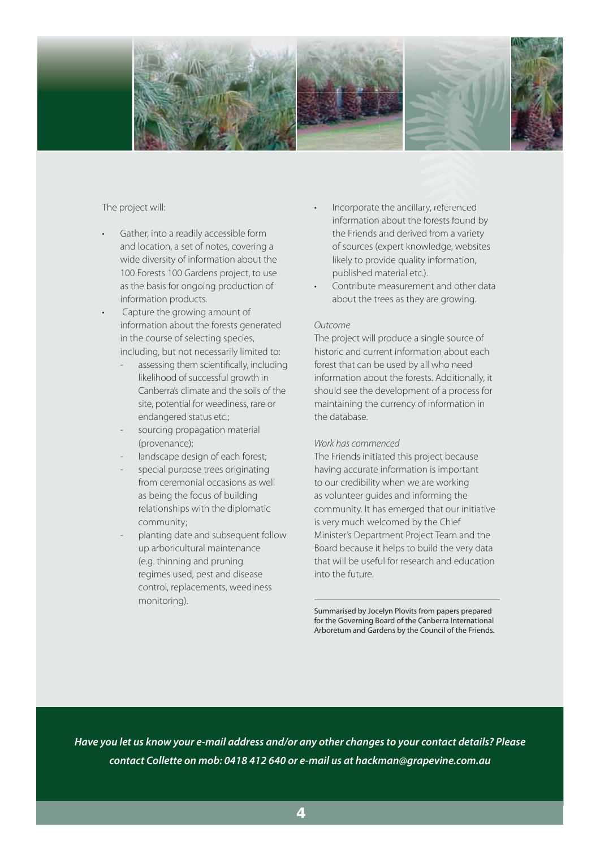

### The project will:

- Gather, into a readily accessible form and location, a set of notes, covering a wide diversity of information about the 100 Forests 100 Gardens project, to use as the basis for ongoing production of information products.
- Capture the growing amount of information about the forests generated in the course of selecting species, including, but not necessarily limited to:
	- assessing them scientifically, including likelihood of successful growth in Canberra's climate and the soils of the site, potential for weediness, rare or endangered status etc.;
	- sourcing propagation material (provenance);
	- landscape design of each forest;
	- special purpose trees originating from ceremonial occasions as well as being the focus of building relationships with the diplomatic community;
	- planting date and subsequent follow up arboricultural maintenance (e.g. thinning and pruning regimes used, pest and disease control, replacements, weediness monitoring).
- Incorporate the ancillary, referenced information about the forests found by the Friends and derived from a variety of sources (expert knowledge, websites of sources (expert knowledge, websi<br>likely to provide quality information, published material etc.).
- Contribute measurement and other data about the trees as they are growing.

### Outcome

The project will produce a single source of historic and current information about each forest that can be used by all who need information about the forests. Additionally, it should see the development of a process for maintaining the currency of information in the database.

### Work has commenced

The Friends initiated this project because having accurate information is important to our credibility when we are working as volunteer guides and informing the community. It has emerged that our initiative is very much welcomed by the Chief Minister's Department Project Team and the Board because it helps to build the very data that will be useful for research and education into the future.

Summarised by Jocelyn Plovits from papers prepared for the Governing Board of the Canberra International Arboretum and Gardens by the Council of the Friends.

*Have you let us know your e-mail address and/or any other changes to your contact details? Please contact Collette on mob: 0418 412 640 or e-mail us at hackman@grapevine.com.au*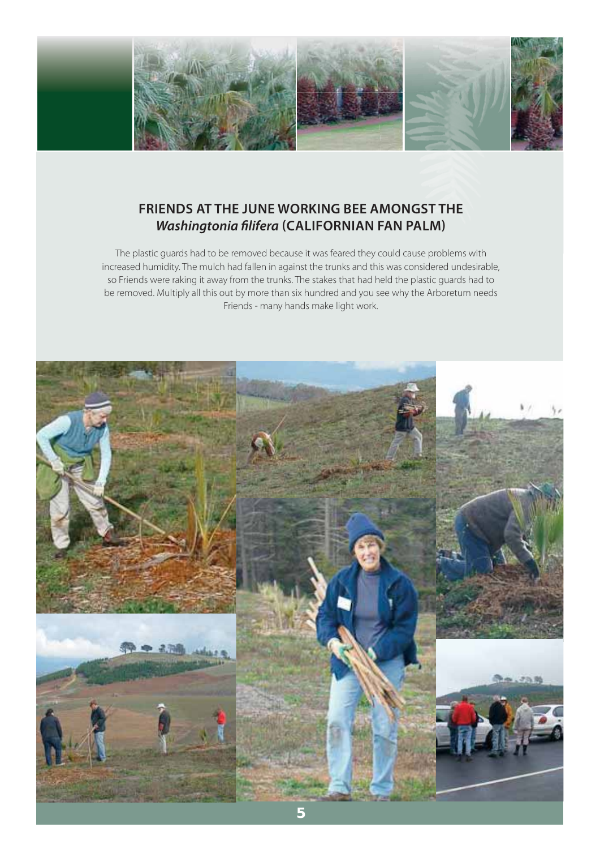

# **FRIENDS AT THE JUNE WORKING BEE AMONGST THE**  *Washingtonia fi lifera* **(CALIFORNIAN FAN PALM)**

The plastic guards had to be removed because it was feared they could cause problems with increased humidity. The mulch had fallen in against the trunks and this was considered undesirable, so Friends were raking it away from the trunks. The stakes that had held the plastic guards had to be removed. Multiply all this out by more than six hundred and you see why the Arboretum needs Friends - many hands make light work.

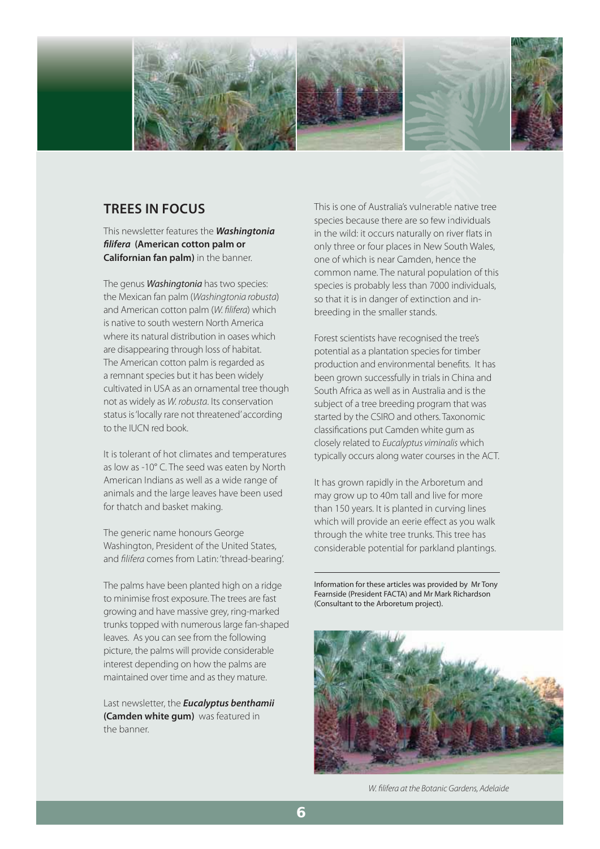

## **TREES IN FOCUS**

This newsletter features the *Washingtonia fi lifera* **(American cotton palm or Californian fan palm)** in the banner.

The genus **Washingtonia** has two species: the Mexican fan palm (Washingtonia robusta) and American cotton palm (W. filifera) which is native to south western North America where its natural distribution in oases which are disappearing through loss of habitat. The American cotton palm is regarded as a remnant species but it has been widely cultivated in USA as an ornamental tree though not as widely as W. robusta. Its conservation status is 'locally rare not threatened' according to the IUCN red book.

It is tolerant of hot climates and temperatures as low as -10° C. The seed was eaten by North American Indians as well as a wide range of animals and the large leaves have been used for thatch and basket making.

The generic name honours George Washington, President of the United States, and filifera comes from Latin: 'thread-bearing'.

The palms have been planted high on a ridge to minimise frost exposure. The trees are fast growing and have massive grey, ring-marked trunks topped with numerous large fan-shaped leaves. As you can see from the following picture, the palms will provide considerable interest depending on how the palms are maintained over time and as they mature.

Last newsletter, the *Eucalyptus benthamii*  **(Camden white gum)** was featured in the banner.

This is one of Australia's vulnerable native tree This is one of Australia's vulnerable native tre<br>species because there are so few individuals in the wild: it occurs naturally on river flats in only three or four places in New South Wales, in the wild: it occurs naturally on river flat<br>only three or four places in New South W<br>one of which is near Camden, hence the common name. The natural population of this species is probably less than 7000 individuals, so that it is in danger of extinction and inbreeding in the smaller stands.

Forest scientists have recognised the tree's potential as a plantation species for timber production and environmental benefits. It has been grown successfully in trials in China and South Africa as well as in Australia and is the subject of a tree breeding program that was started by the CSIRO and others. Taxonomic classifications put Camden white gum as closely related to Eucalyptus viminalis which typically occurs along water courses in the ACT.

It has grown rapidly in the Arboretum and may grow up to 40m tall and live for more than 150 years. It is planted in curving lines which will provide an eerie effect as you walk through the white tree trunks. This tree has considerable potential for parkland plantings.

Information for these articles was provided by Mr Tony Fearnside (President FACTA) and Mr Mark Richardson (Consultant to the Arboretum project).



W. filifera at the Botanic Gardens, Adelaide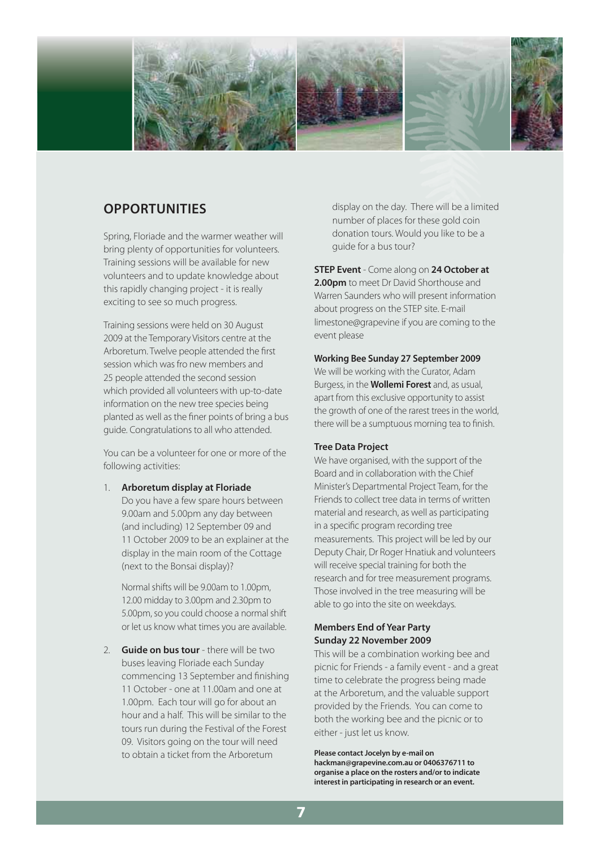

## **OPPORTUNITIES**

Spring, Floriade and the warmer weather will bring plenty of opportunities for volunteers. Training sessions will be available for new volunteers and to update knowledge about this rapidly changing project - it is really exciting to see so much progress.

Training sessions were held on 30 August 2009 at the Temporary Visitors centre at the Arboretum. Twelve people attended the first session which was fro new members and 25 people attended the second session which provided all volunteers with up-to-date information on the new tree species being planted as well as the finer points of bring a bus guide. Congratulations to all who attended.

You can be a volunteer for one or more of the following activities:

1. **Arboretum display at Floriade**

 Do you have a few spare hours between 9.00am and 5.00pm any day between (and including) 12 September 09 and 11 October 2009 to be an explainer at the display in the main room of the Cottage (next to the Bonsai display)?

Normal shifts will be 9.00am to 1.00pm, 12.00 midday to 3.00pm and 2.30pm to 5.00pm, so you could choose a normal shift or let us know what times you are available.

2. **Guide on bus tour** - there will be two buses leaving Floriade each Sunday commencing 13 September and finishing 11 October - one at 11.00am and one at 1.00pm. Each tour will go for about an hour and a half. This will be similar to the tours run during the Festival of the Forest 09. Visitors going on the tour will need to obtain a ticket from the Arboretum

display on the day. There will be a limited number of places for these gold coin donation tours. Would you like to be a guide for a bus tour?

**STEP Event** - Come along on **24 October at 2.00pm** to meet Dr David Shorthouse and Warren Saunders who will present information about progress on the STEP site. E-mail limestone@grapevine if you are coming to the event please

### **Working Bee Sunday 27 September 2009**

We will be working with the Curator, Adam Burgess, in the **Wollemi Forest** and, as usual, apart from this exclusive opportunity to assist the growth of one of the rarest trees in the world, there will be a sumptuous morning tea to finish.

### **Tree Data Project**

We have organised, with the support of the Board and in collaboration with the Chief Minister's Departmental Project Team, for the Friends to collect tree data in terms of written material and research, as well as participating in a specific program recording tree measurements. This project will be led by our Deputy Chair, Dr Roger Hnatiuk and volunteers will receive special training for both the research and for tree measurement programs. Those involved in the tree measuring will be able to go into the site on weekdays.

### **Members End of Year Party Sunday 22 November 2009**

This will be a combination working bee and picnic for Friends - a family event - and a great time to celebrate the progress being made at the Arboretum, and the valuable support provided by the Friends. You can come to both the working bee and the picnic or to either - just let us know.

**Please contact Jocelyn by e-mail on hackman@grapevine.com.au or 0406376711 to organise a place on the rosters and/or to indicate interest in participating in research or an event.**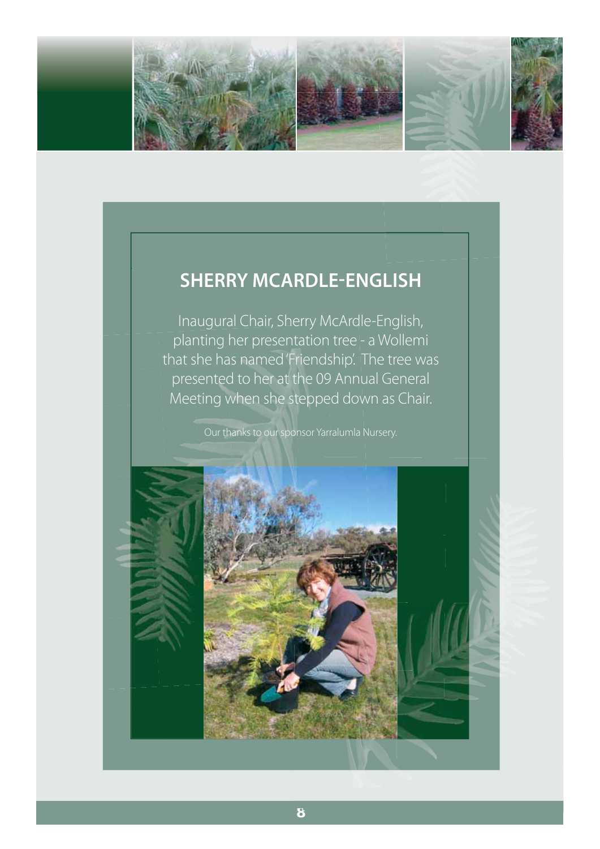

# **SHERRY MCARDLE-ENGLISH**

Inaugural Chair, Sherry McArdle-English, planting her presentation tree - a Wollemi that she has named 'Friendship'. The tree was presented to her at the 09 Annual General Meeting when she stepped down as Chair.

Our thanks to our sponsor Yarralumla Nursery.